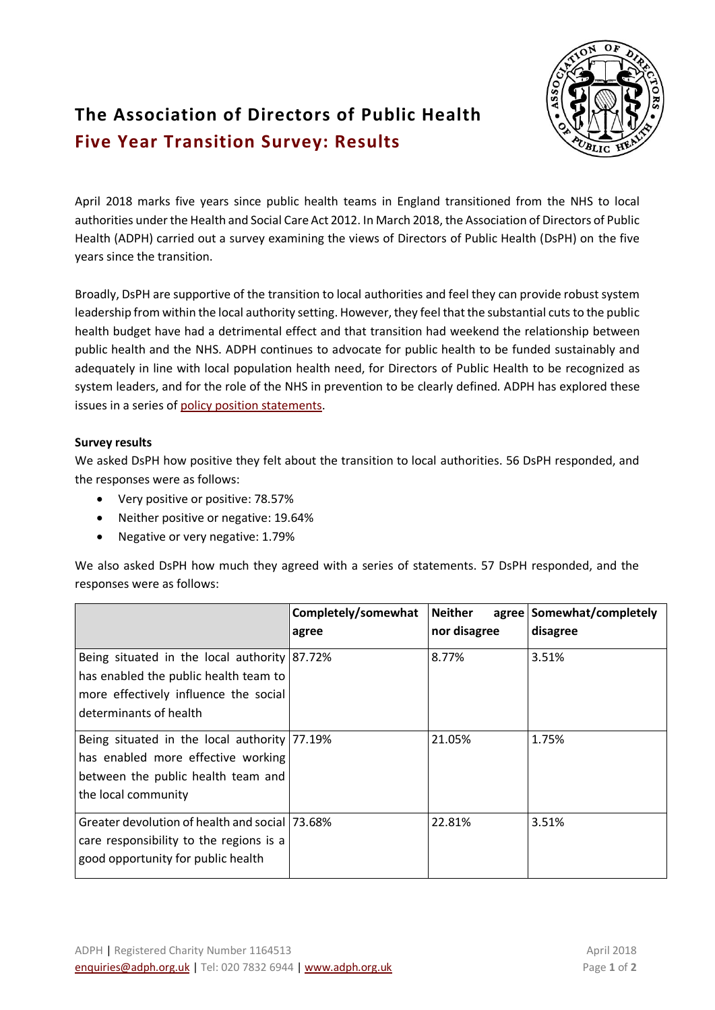## **The Association of Directors of Public Health Five Year Transition Survey: Results**

April 2018 marks five years since public health teams in England transitioned from the NHS to local authorities under the Health and Social Care Act 2012. In March 2018, the Association of Directors of Public Health (ADPH) carried out a survey examining the views of Directors of Public Health (DsPH) on the five years since the transition.

Broadly, DsPH are supportive of the transition to local authorities and feel they can provide robust system leadership from within the local authority setting. However, they feel that the substantial cuts to the public health budget have had a detrimental effect and that transition had weekend the relationship between public health and the NHS. ADPH continues to advocate for public health to be funded sustainably and adequately in line with local population health need, for Directors of Public Health to be recognized as system leaders, and for the role of the NHS in prevention to be clearly defined. ADPH has explored these issues in a series of policy position [statements.](http://www.adph.org.uk/2017/11/policy-positions/)

## **Survey results**

We asked DsPH how positive they felt about the transition to local authorities. 56 DsPH responded, and the responses were as follows:

- Very positive or positive: 78.57%
- Neither positive or negative: 19.64%
- Negative or very negative: 1.79%

We also asked DsPH how much they agreed with a series of statements. 57 DsPH responded, and the responses were as follows:

|                                                                                                                                                          | Completely/somewhat<br>agree | <b>Neither</b><br>nor disagree | agree Somewhat/completely<br>disagree |
|----------------------------------------------------------------------------------------------------------------------------------------------------------|------------------------------|--------------------------------|---------------------------------------|
| Being situated in the local authority 87.72%<br>has enabled the public health team to<br>more effectively influence the social<br>determinants of health |                              | 8.77%                          | 3.51%                                 |
| Being situated in the local authority 77.19%<br>has enabled more effective working<br>between the public health team and<br>the local community          |                              | 21.05%                         | 1.75%                                 |
| Greater devolution of health and social 173.68%<br>care responsibility to the regions is a<br>good opportunity for public health                         |                              | 22.81%                         | 3.51%                                 |